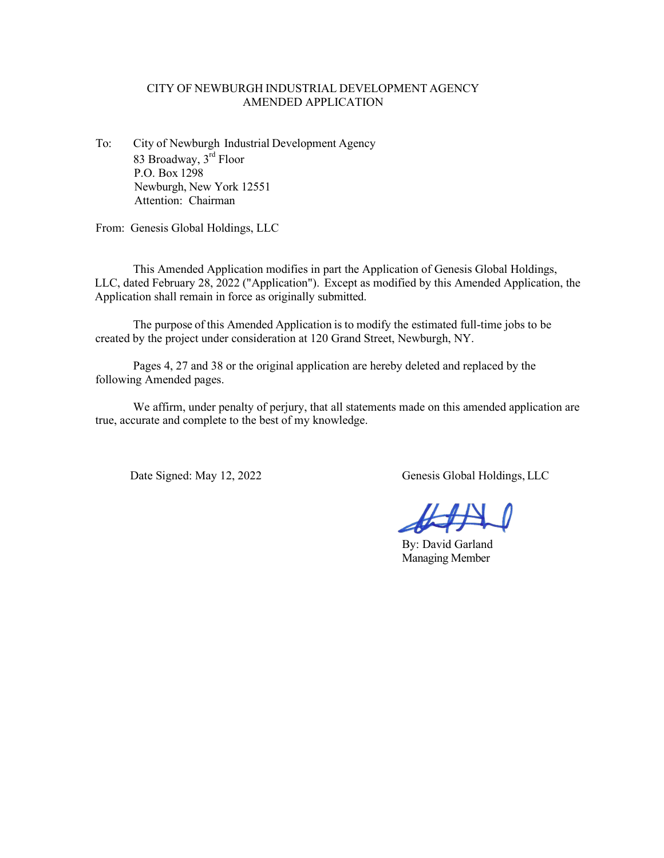# CITY OF NEWBURGH INDUSTRIAL DEVELOPMENT AGENCY AMENDED APPLICATION

To: City of Newburgh Industrial Development Agency 83 Broadway, 3<sup>rd</sup> Floor P.O. Box 1298 Newburgh, New York 12551 Attention: Chairman

From: Genesis Global Holdings, LLC

This Amended Application modifies in part the Application of Genesis Global Holdings, LLC, dated February 28, 2022 ("Application"). Except as modified by this Amended Application, the Application shall remain in force as originally submitted.

The purpose of this Amended Application is to modify the estimated full-time jobs to be created by the project under consideration at 120 Grand Street, Newburgh, NY.

Pages 4, 27 and 38 or the original application are hereby deleted and replaced by the following Amended pages.

We affirm, under penalty of perjury, that all statements made on this amended application are true, accurate and complete to the best of my knowledge.

Date Signed: May 12, 2022 Genesis Global Holdings, LLC

By: David Garland Managing Member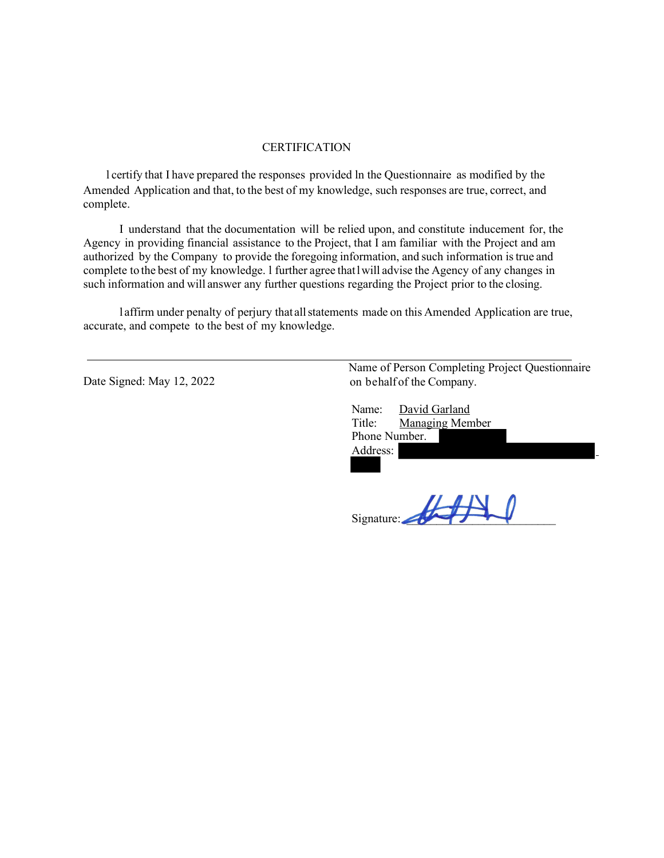#### **CERTIFICATION**

l certify that I have prepared the responses provided ln the Questionnaire as modified by the Amended Application and that, to the best of my knowledge, such responses are true, correct, and complete.

I understand that the documentation will be relied upon, and constitute inducement for, the Agency in providing financial assistance to the Project, that I am familiar with the Project and am authorized by the Company to provide the foregoing information, and such information istrue and complete to the best of my knowledge. l further agree that l will advise the Agency of any changes in such information and will answer any further questions regarding the Project prior to the closing.

l affirm under penalty of perjury that allstatements made on this Amended Application are true, accurate, and compete to the best of my knowledge.

Date Signed: May 12, 2022

Name of Person Completing Project Questionnaire on behalf of the Company.

| Name:         | David Garland          |  |
|---------------|------------------------|--|
| Title:        | <b>Managing Member</b> |  |
| Phone Number. |                        |  |
| Address:      |                        |  |
|               |                        |  |

Signature: \_\_\_\_\_\_\_\_\_\_\_\_\_\_\_\_\_\_\_\_\_\_\_\_\_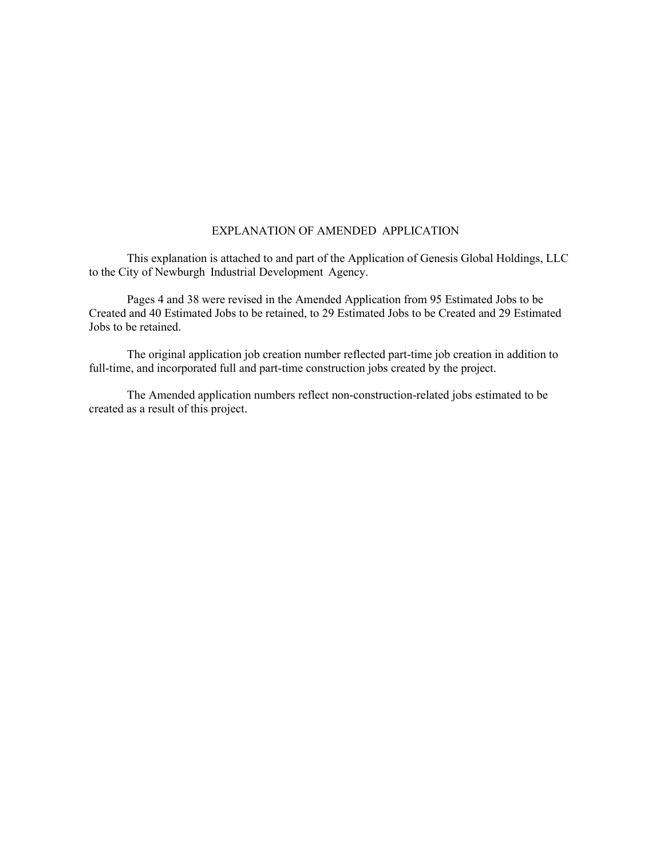### EXPLANATION OF AMENDED APPLICATION

This explanation is attached to and part of the Application of Genesis Global Holdings, LLC to the City of Newburgh Industrial Development Agency.

Pages 4 and 38 were revised in the Amended Application from 95 Estimated Jobs to be Created and 40 Estimated Jobs to be retained, to 29 Estimated Jobs to be Created and 29 Estimated Jobs to be retained.

The original application job creation number reflected part-time job creation in addition to full-time, and incorporated full and part-time construction jobs created by the project.

The Amended application numbers reflect non-construction-related jobs estimated to be created as a result of this project.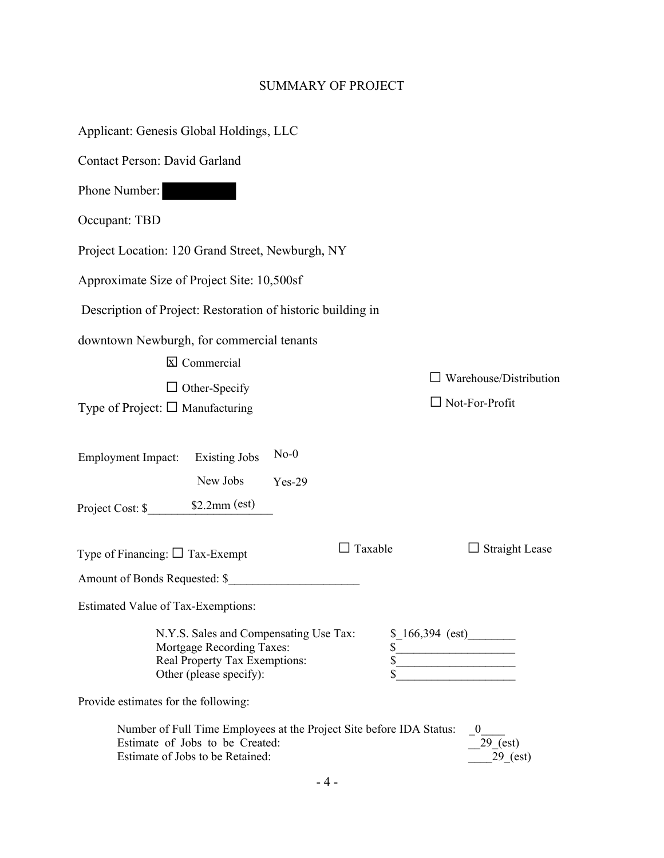# SUMMARY OF PROJECT

| Applicant: Genesis Global Holdings, LLC                                                                                                     |                                    |
|---------------------------------------------------------------------------------------------------------------------------------------------|------------------------------------|
| Contact Person: David Garland                                                                                                               |                                    |
| Phone Number:                                                                                                                               |                                    |
| Occupant: TBD                                                                                                                               |                                    |
| Project Location: 120 Grand Street, Newburgh, NY                                                                                            |                                    |
| Approximate Size of Project Site: 10,500sf                                                                                                  |                                    |
| Description of Project: Restoration of historic building in                                                                                 |                                    |
| downtown Newburgh, for commercial tenants                                                                                                   |                                    |
| $\overline{\mathbb{X}}$ Commercial<br>Warehouse/Distribution                                                                                |                                    |
| $\Box$ Other-Specify                                                                                                                        | $\Box$ Not-For-Profit              |
| Type of Project: $\square$ Manufacturing                                                                                                    |                                    |
| $No-0$<br><b>Employment Impact:</b><br><b>Existing Jobs</b><br>New Jobs<br>$Yes-29$                                                         |                                    |
| $\Box$ Taxable<br>Type of Financing: $\Box$ Tax-Exempt                                                                                      | $\Box$ Straight Lease              |
| Amount of Bonds Requested: \$                                                                                                               |                                    |
| Estimated Value of Tax-Exemptions:                                                                                                          |                                    |
| N.Y.S. Sales and Compensating Use Tax:<br>Mortgage Recording Taxes:<br>Real Property Tax Exemptions:<br>Other (please specify):             | $$166,394$ (est)                   |
| Provide estimates for the following:                                                                                                        |                                    |
| Number of Full Time Employees at the Project Site before IDA Status:<br>Estimate of Jobs to be Created:<br>Estimate of Jobs to be Retained: | $\theta$<br>29 (est)<br>$29$ (est) |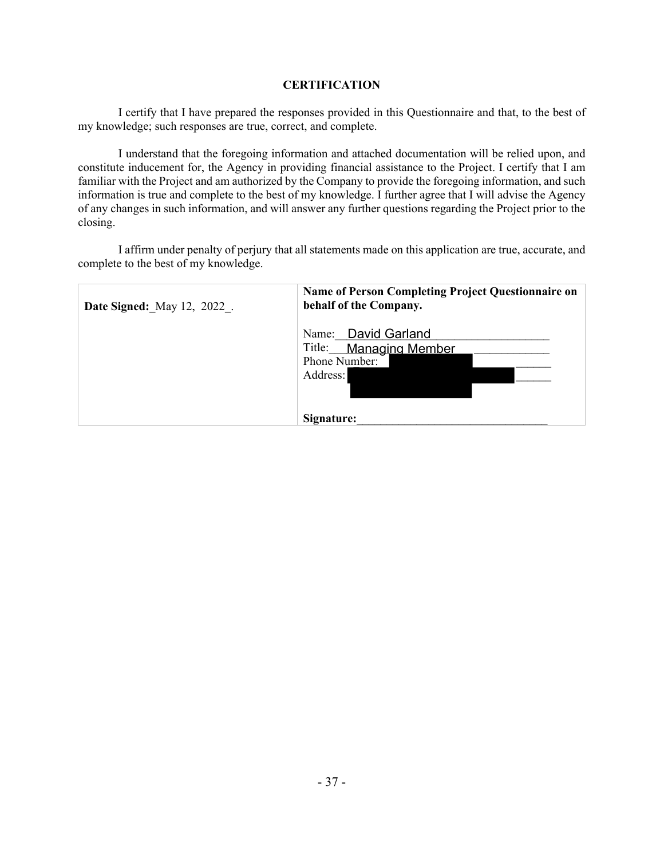### **CERTIFICATION**

I certify that I have prepared the responses provided in this Questionnaire and that, to the best of my knowledge; such responses are true, correct, and complete.

I understand that the foregoing information and attached documentation will be relied upon, and constitute inducement for, the Agency in providing financial assistance to the Project. I certify that I am familiar with the Project and am authorized by the Company to provide the foregoing information, and such information is true and complete to the best of my knowledge. I further agree that I will advise the Agency of any changes in such information, and will answer any further questions regarding the Project prior to the closing.

I affirm under penalty of perjury that all statements made on this application are true, accurate, and complete to the best of my knowledge.

| <b>Date Signed:</b> May 12, 2022. | Name of Person Completing Project Questionnaire on<br>behalf of the Company. |  |  |
|-----------------------------------|------------------------------------------------------------------------------|--|--|
|                                   | Name: David Garland<br>Title: Managing Member<br>Phone Number:<br>Address:   |  |  |
|                                   | Signature:                                                                   |  |  |